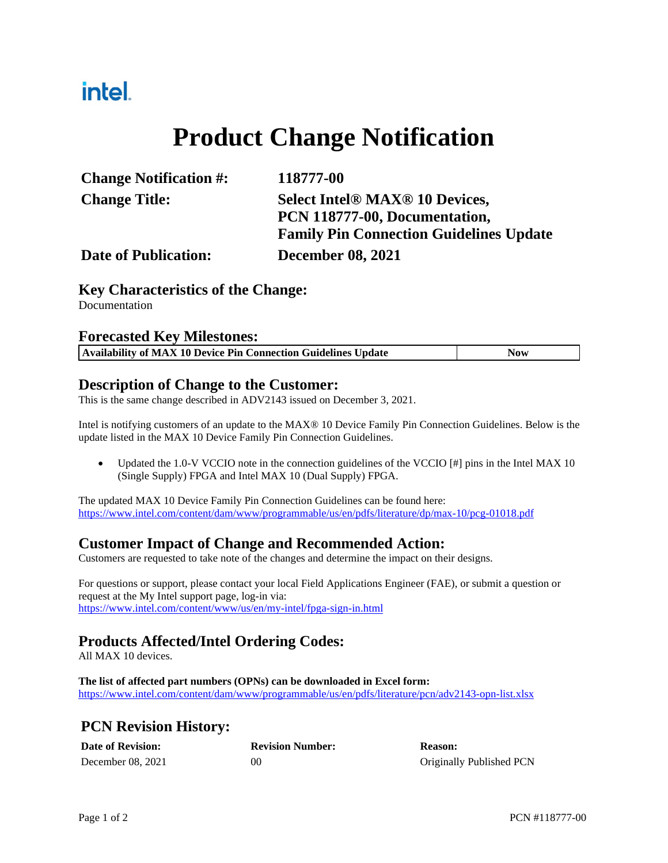### intel.

# **Product Change Notification**

| <b>Change Notification #:</b> | 118777-00                                      |
|-------------------------------|------------------------------------------------|
| <b>Change Title:</b>          | <b>Select Intel® MAX® 10 Devices,</b>          |
|                               | PCN 118777-00, Documentation,                  |
|                               | <b>Family Pin Connection Guidelines Update</b> |
| <b>Date of Publication:</b>   | <b>December 08, 2021</b>                       |

#### **Key Characteristics of the Change:**

Documentation

#### **Forecasted Key Milestones:**

|  | Availability of MAX 10 Device Pin Connection Guidelines Update | Now |
|--|----------------------------------------------------------------|-----|
|  |                                                                |     |

#### **Description of Change to the Customer:**

This is the same change described in ADV2143 issued on December 3, 2021.

Intel is notifying customers of an update to the MAX® 10 Device Family Pin Connection Guidelines. Below is the update listed in the MAX 10 Device Family Pin Connection Guidelines.

 Updated the 1.0-V VCCIO note in the connection guidelines of the VCCIO [#] pins in the Intel MAX 10 (Single Supply) FPGA and Intel MAX 10 (Dual Supply) FPGA.

The updated MAX 10 Device Family Pin Connection Guidelines can be found here: <https://www.intel.com/content/dam/www/programmable/us/en/pdfs/literature/dp/max-10/pcg-01018.pdf>

#### **Customer Impact of Change and Recommended Action:**

Customers are requested to take note of the changes and determine the impact on their designs.

For questions or support, please contact your local Field Applications Engineer (FAE), or submit a question or request at the My Intel support page, log-in via: <https://www.intel.com/content/www/us/en/my-intel/fpga-sign-in.html>

#### **Products Affected/Intel Ordering Codes:**

All MAX 10 devices.

**The list of affected part numbers (OPNs) can be downloaded in Excel form:**  <https://www.intel.com/content/dam/www/programmable/us/en/pdfs/literature/pcn/adv2143-opn-list.xlsx>

### **PCN Revision History:**

| <b>Date of Revision:</b> | <b>Revision Number:</b> | <b>Reason:</b>           |
|--------------------------|-------------------------|--------------------------|
| December 08, 2021        | 0C                      | Originally Published PCN |